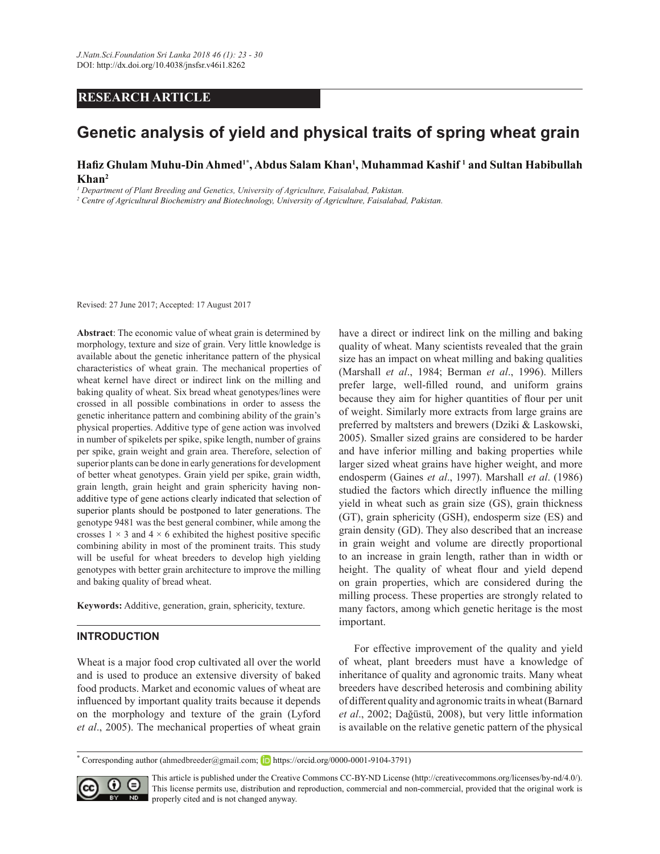# **RESEARCH ARTICLE**

# **Genetic analysis of yield and physical traits of spring wheat grain**

### **+D¿]\*KXODP0XKX'LQ\$KPHG1\*, Abdus Salam Khan<sup>1</sup> , Muhammad Kashif <sup>1</sup> and Sultan Habibullah Khan<sup>2</sup>**

<sup>1</sup> Department of Plant Breeding and Genetics, University of Agriculture, Faisalabad, Pakistan.

<sup>2</sup> Centre of Agricultural Biochemistry and Biotechnology, University of Agriculture, Faisalabad, Pakistan.

Revised: 27 June 2017; Accepted: 17 August 2017

**Abstract**: The economic value of wheat grain is determined by morphology, texture and size of grain. Very little knowledge is available about the genetic inheritance pattern of the physical characteristics of wheat grain. The mechanical properties of wheat kernel have direct or indirect link on the milling and baking quality of wheat. Six bread wheat genotypes/lines were crossed in all possible combinations in order to assess the genetic inheritance pattern and combining ability of the grain's physical properties. Additive type of gene action was involved in number of spikelets per spike, spike length, number of grains per spike, grain weight and grain area. Therefore, selection of superior plants can be done in early generations for development of better wheat genotypes. Grain yield per spike, grain width, grain length, grain height and grain sphericity having nonadditive type of gene actions clearly indicated that selection of superior plants should be postponed to later generations. The genotype 9481 was the best general combiner, while among the crosses  $1 \times 3$  and  $4 \times 6$  exhibited the highest positive specific combining ability in most of the prominent traits. This study will be useful for wheat breeders to develop high yielding genotypes with better grain architecture to improve the milling and baking quality of bread wheat.

**Keywords:** Additive, generation, grain, sphericity, texture.

## **INTRODUCTION**

Wheat is a major food crop cultivated all over the world and is used to produce an extensive diversity of baked food products. Market and economic values of wheat are influenced by important quality traits because it depends on the morphology and texture of the grain (Lyford *et al*., 2005). The mechanical properties of wheat grain

have a direct or indirect link on the milling and baking quality of wheat. Many scientists revealed that the grain size has an impact on wheat milling and baking qualities (Marshall *et al*., 1984; Berman *et al*., 1996). Millers prefer large, well-filled round, and uniform grains because they aim for higher quantities of flour per unit of weight. Similarly more extracts from large grains are preferred by maltsters and brewers (Dziki & Laskowski, 2005). Smaller sized grains are considered to be harder and have inferior milling and baking properties while larger sized wheat grains have higher weight, and more endosperm (Gaines *et al*., 1997). Marshall *et al*. (1986) studied the factors which directly influence the milling yield in wheat such as grain size (GS), grain thickness (GT), grain sphericity (GSH), endosperm size (ES) and grain density (GD). They also described that an increase in grain weight and volume are directly proportional to an increase in grain length, rather than in width or height. The quality of wheat flour and yield depend on grain properties, which are considered during the milling process. These properties are strongly related to many factors, among which genetic heritage is the most important.

 For effective improvement of the quality and yield of wheat, plant breeders must have a knowledge of inheritance of quality and agronomic traits. Many wheat breeders have described heterosis and combining ability of different quality and agronomic traits in wheat (Barnard *et al.*, 2002; Dağüstü, 2008), but very little information is available on the relative genetic pattern of the physical

**<sup>\*</sup>** Corresponding author (ahmedbreeder@gmail.com; **https://orcid.org/0000-0001-9104-3791)** 



This article is published under the Creative Commons CC-BY-ND License (http://creativecommons.org/licenses/by-nd/4.0/). This license permits use, distribution and reproduction, commercial and non-commercial, provided that the original work is **RD** properly cited and is not changed anyway.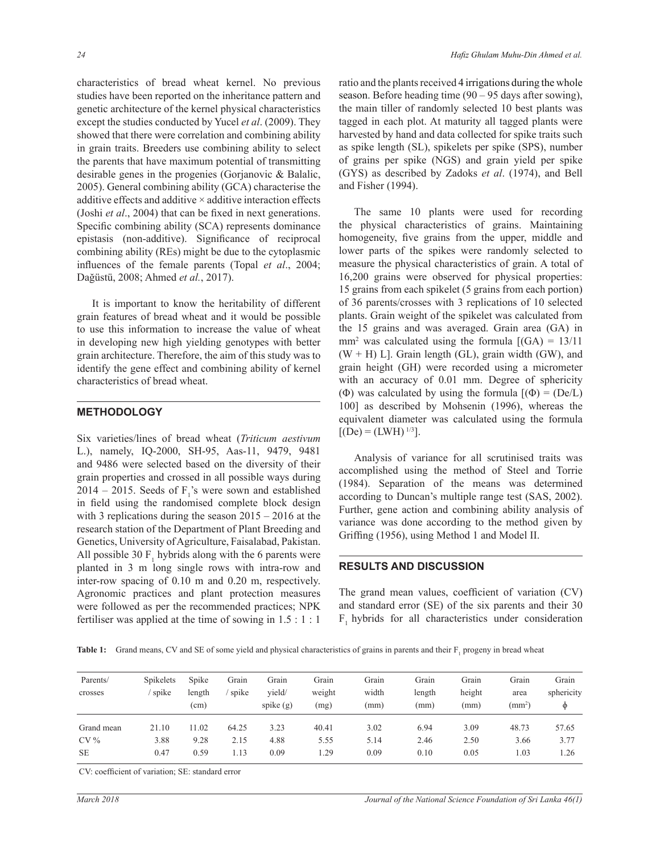characteristics of bread wheat kernel. No previous studies have been reported on the inheritance pattern and genetic architecture of the kernel physical characteristics except the studies conducted by Yucel *et al*. (2009). They showed that there were correlation and combining ability in grain traits. Breeders use combining ability to select the parents that have maximum potential of transmitting desirable genes in the progenies (Gorjanovic & Balalic, 2005). General combining ability (GCA) characterise the additive effects and additive  $\times$  additive interaction effects (Joshi *et al.*, 2004) that can be fixed in next generations. Specific combining ability (SCA) represents dominance epistasis (non-additive). Significance of reciprocal combining ability (REs) might be due to the cytoplasmic influences of the female parents (Topal et al., 2004; Dağüstü, 2008; Ahmed et al., 2017).

 It is important to know the heritability of different grain features of bread wheat and it would be possible to use this information to increase the value of wheat in developing new high yielding genotypes with better grain architecture. Therefore, the aim of this study was to identify the gene effect and combining ability of kernel characteristics of bread wheat.

#### **METHODOLOGY**

Six varieties/lines of bread wheat (*Triticum aestivum* L.), namely, IQ-2000, SH-95, Aas-11, 9479, 9481 and 9486 were selected based on the diversity of their grain properties and crossed in all possible ways during 2014 – 2015. Seeds of  $F_1$ 's were sown and established in field using the randomised complete block design with 3 replications during the season  $2015 - 2016$  at the research station of the Department of Plant Breeding and Genetics, University of Agriculture, Faisalabad, Pakistan. All possible 30  $F_1$  hybrids along with the 6 parents were planted in 3 m long single rows with intra-row and inter-row spacing of 0.10 m and 0.20 m, respectively. Agronomic practices and plant protection measures were followed as per the recommended practices; NPK fertiliser was applied at the time of sowing in 1.5 : 1 : 1

ratio and the plants received 4 irrigations during the whole season. Before heading time (90 – 95 days after sowing), the main tiller of randomly selected 10 best plants was tagged in each plot. At maturity all tagged plants were harvested by hand and data collected for spike traits such as spike length (SL), spikelets per spike (SPS), number of grains per spike (NGS) and grain yield per spike (GYS) as described by Zadoks *et al*. (1974), and Bell and Fisher (1994).

 The same 10 plants were used for recording the physical characteristics of grains. Maintaining homogeneity, five grains from the upper, middle and lower parts of the spikes were randomly selected to measure the physical characteristics of grain. A total of 16,200 grains were observed for physical properties: 15 grains from each spikelet (5 grains from each portion) of 36 parents/crosses with 3 replications of 10 selected plants. Grain weight of the spikelet was calculated from the 15 grains and was averaged. Grain area (GA) in  $mm<sup>2</sup>$  was calculated using the formula  $[(GA) = 13/11]$  $(W + H)$  L]. Grain length (GL), grain width (GW), and grain height (GH) were recorded using a micrometer with an accuracy of 0.01 mm. Degree of sphericity ( $\Phi$ ) was calculated by using the formula  $[(\Phi) = (De/L)]$ 100] as described by Mohsenin (1996), whereas the equivalent diameter was calculated using the formula  $[(De) = (LWH)^{1/3}]$ .

 Analysis of variance for all scrutinised traits was accomplished using the method of Steel and Torrie (1984). Separation of the means was determined according to Duncan's multiple range test (SAS, 2002). Further, gene action and combining ability analysis of variance was done according to the method given by Griffing  $(1956)$ , using Method 1 and Model II.

#### **RESULTS AND DISCUSSION**

The grand mean values, coefficient of variation (CV) and standard error (SE) of the six parents and their 30 F<sub>1</sub> hybrids for all characteristics under consideration

|  |  |  |  |  |  |  |  | Table 1: Grand means, CV and SE of some yield and physical characteristics of grains in parents and their $F_1$ progeny in bread wheat |
|--|--|--|--|--|--|--|--|----------------------------------------------------------------------------------------------------------------------------------------|
|--|--|--|--|--|--|--|--|----------------------------------------------------------------------------------------------------------------------------------------|

| Parents/<br>crosses | Spikelets<br>spike | Spike<br>length<br>(cm) | Grain<br>spike | Grain<br>vield/<br>spike $(g)$ | Grain<br>weight<br>(mg) | Grain<br>width<br>(mm) | Grain<br>length<br>(mm) | Grain<br>height<br>(mm) | Grain<br>area<br>$\text{(mm}^2)$ | Grain<br>sphericity<br>Φ |
|---------------------|--------------------|-------------------------|----------------|--------------------------------|-------------------------|------------------------|-------------------------|-------------------------|----------------------------------|--------------------------|
| Grand mean          | 21.10              | 11.02                   | 64.25          | 3.23                           | 40.41                   | 3.02                   | 6.94                    | 3.09                    | 48.73                            | 57.65                    |
| $CV\%$              | 3.88               | 9.28                    | 2.15           | 4.88                           | 5.55                    | 5.14                   | 2.46                    | 2.50                    | 3.66                             | 3.77                     |
| <b>SE</b>           | 0.47               | 0.59                    | 1.13           | 0.09                           | 1.29                    | 0.09                   | 0.10                    | 0.05                    | 1.03                             | 1.26                     |

CV: coefficient of variation; SE: standard error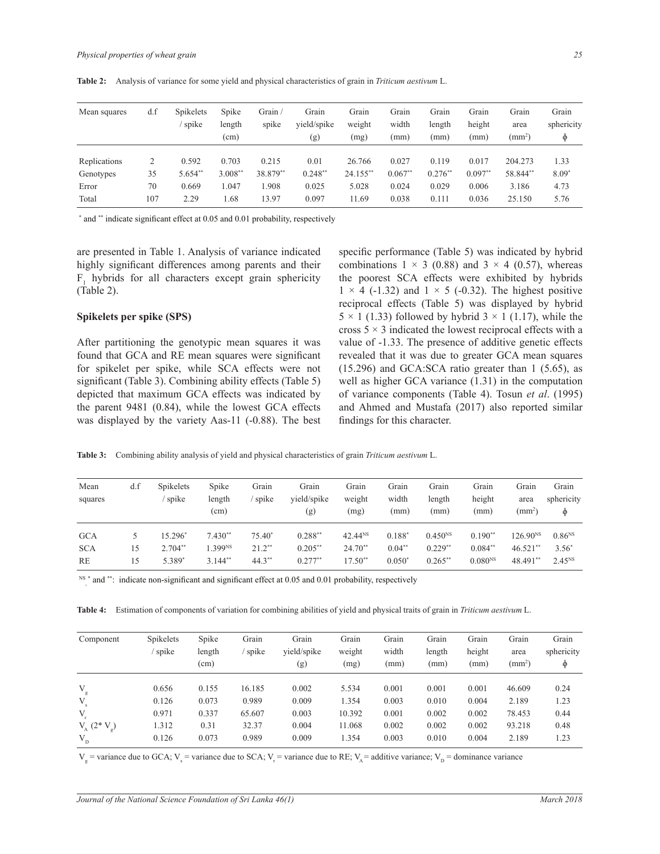**Table 2:** Analysis of variance for some yield and physical characteristics of grain in *Triticum aestivum* L.

| Mean squares | d.f | <b>Spikelets</b><br>spike | Spike<br>length<br>(cm) | Grain<br>spike | Grain<br>vield/spike<br>(g) | Grain<br>weight<br>(mg) | Grain<br>width<br>(mm) | Grain<br>length<br>(mm) | Grain<br>height<br>(mm) | Grain<br>area<br>(mm <sup>2</sup> ) | Grain<br>sphericity<br>Φ |
|--------------|-----|---------------------------|-------------------------|----------------|-----------------------------|-------------------------|------------------------|-------------------------|-------------------------|-------------------------------------|--------------------------|
| Replications | 2   | 0.592                     | 0.703                   | 0.215          | 0.01                        | 26.766                  | 0.027                  | 0.119                   | 0.017                   | 204.273                             | 1.33                     |
| Genotypes    | 35  | $5.654**$                 | $3.008**$               | 38.879**       | $0.248**$                   | 24.155**                | $0.067**$              | $0.276**$               | $0.097**$               | 58.844**                            | $8.09*$                  |
| Error        | 70  | 0.669                     | 1.047                   | .908           | 0.025                       | 5.028                   | 0.024                  | 0.029                   | 0.006                   | 3.186                               | 4.73                     |
| Total        | 107 | 2.29                      | .68                     | 13.97          | 0.097                       | 11.69                   | 0.038                  | 0.111                   | 0.036                   | 25.150                              | 5.76                     |

\* and \*\* indicate significant effect at 0.05 and 0.01 probability, respectively

are presented in Table 1. Analysis of variance indicated highly significant differences among parents and their  $F_1$  hybrids for all characters except grain sphericity (Table 2).

#### **Spikelets per spike (SPS)**

After partitioning the genotypic mean squares it was found that GCA and RE mean squares were significant for spikelet per spike, while SCA effects were not significant (Table 3). Combining ability effects (Table 5) depicted that maximum GCA effects was indicated by the parent 9481 (0.84), while the lowest GCA effects was displayed by the variety Aas-11 (-0.88). The best specific performance (Table 5) was indicated by hybrid combinations  $1 \times 3$  (0.88) and  $3 \times 4$  (0.57), whereas the poorest SCA effects were exhibited by hybrids  $1 \times 4$  (-1.32) and  $1 \times 5$  (-0.32). The highest positive reciprocal effects (Table 5) was displayed by hybrid  $5 \times 1$  (1.33) followed by hybrid  $3 \times 1$  (1.17), while the cross  $5 \times 3$  indicated the lowest reciprocal effects with a value of -1.33. The presence of additive genetic effects revealed that it was due to greater GCA mean squares (15.296) and GCA:SCA ratio greater than 1 (5.65), as well as higher GCA variance (1.31) in the computation of variance components (Table 4). Tosun *et al*. (1995) and Ahmed and Mustafa (2017) also reported similar findings for this character.

**Table 3:** Combining ability analysis of yield and physical characteristics of grain *Triticum aestivum* L.

| Mean<br>squares         | d.f      | <b>Spikelets</b><br>spike | Spike<br>length<br>(cm)          | Grain<br>spike       | Grain<br>vield/spike<br>(g) | Grain<br>weight<br>(mg) | Grain<br>width<br>(mm) | Grain<br>length<br>(mm) | Grain<br>height<br>(mm)   | Grain<br>area<br>$\text{(mm}^2)$ | Grain<br>sphericity<br>$\Phi$ |
|-------------------------|----------|---------------------------|----------------------------------|----------------------|-----------------------------|-------------------------|------------------------|-------------------------|---------------------------|----------------------------------|-------------------------------|
| <b>GCA</b>              |          | $15.296*$                 | $7.430**$                        | $75.40*$             | $0.288**$                   | 42.44 <sup>NS</sup>     | $0.188*$               | $0.450^{NS}$            | $0.190**$                 | $126.90^{NS}$                    | $0.86^{NS}$                   |
| <b>SCA</b><br><b>RE</b> | 15<br>15 | $2.704**$<br>5.389*       | .399 <sup>NS</sup><br>$3.144$ ** | $21.2**$<br>$44.3**$ | $0.205**$<br>$0.277**$      | $24.70**$<br>$17.50**$  | $0.04**$<br>$0.050*$   | $0.229**$<br>$0.265**$  | $0.084**$<br>$0.080^{NS}$ | $46.521**$<br>48.491**           | $3.56^*$<br>$2.45^{NS}$       |

 $^{NS}$  \* and \*\*: indicate non-significant and significant effect at 0.05 and 0.01 probability, respectively

**Table 4:** Estimation of components of variation for combining abilities of yield and physical traits of grain in *Triticum aestivum* L.

| Component                        | Spikelets<br>spike | Spike<br>length<br>(cm) | Grain<br>spike | Grain<br>vield/spike<br>(g) | Grain<br>weight<br>(mg) | Grain<br>width<br>(mm) | Grain<br>length<br>(mm) | Grain<br>height<br>(mm) | Grain<br>area<br>$\rm (mm^2)$ | Grain<br>sphericity<br>φ |
|----------------------------------|--------------------|-------------------------|----------------|-----------------------------|-------------------------|------------------------|-------------------------|-------------------------|-------------------------------|--------------------------|
| V<br>g                           | 0.656              | 0.155                   | 16.185         | 0.002                       | 5.534                   | 0.001                  | 0.001                   | 0.001                   | 46.609                        | 0.24                     |
| V                                | 0.126              | 0.073                   | 0.989          | 0.009                       | 1.354                   | 0.003                  | 0.010                   | 0.004                   | 2.189                         | 1.23                     |
| V                                | 0.971              | 0.337                   | 65.607         | 0.003                       | 10.392                  | 0.001                  | 0.002                   | 0.002                   | 78.453                        | 0.44                     |
| $V_{A}$ (2 <sup>*</sup><br>$V_g$ | 1.312              | 0.31                    | 32.37          | 0.004                       | 11.068                  | 0.002                  | 0.002                   | 0.002                   | 93.218                        | 0.48                     |
| $V_{D}$                          | 0.126              | 0.073                   | 0.989          | 0.009                       | 1.354                   | 0.003                  | 0.010                   | 0.004                   | 2.189                         | 1.23                     |

 $V_g$  = variance due to GCA;  $V_s$  = variance due to SCA;  $V_r$  = variance due to RE;  $V_A$  = additive variance;  $V_D$  = dominance variance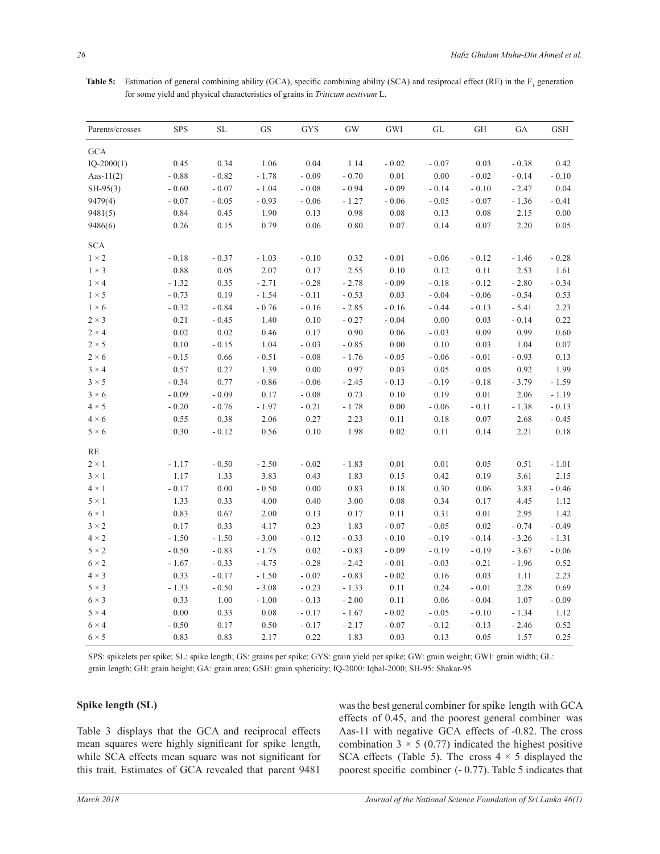| Table 5: Estimation of general combining ability (GCA), specific combining ability (SCA) and resiprocal effect (RE) in the $F_1$ generation |
|---------------------------------------------------------------------------------------------------------------------------------------------|
| for some yield and physical characteristics of grains in <i>Triticum aestivum</i> L.                                                        |

| Parents/crosses | <b>SPS</b> | SL      | <b>GS</b> | <b>GYS</b> | <b>GW</b> | GWI      | GL      | <b>GH</b> | GA      | <b>GSH</b> |
|-----------------|------------|---------|-----------|------------|-----------|----------|---------|-----------|---------|------------|
| <b>GCA</b>      |            |         |           |            |           |          |         |           |         |            |
| $IQ-2000(1)$    | 0.45       | 0.34    | 1.06      | 0.04       | 1.14      | $-0.02$  | $-0.07$ | 0.03      | $-0.38$ | 0.42       |
| Aas- $11(2)$    | $-0.88$    | $-0.82$ | $-1.78$   | $-0.09$    | $-0.70$   | $0.01\,$ | 0.00    | $-0.02$   | $-0.14$ | $-0.10$    |
| $SH-95(3)$      | $-0.60$    | $-0.07$ | $-1.04$   | $-0.08$    | $-0.94$   | $-0.09$  | $-0.14$ | $-0.10$   | $-2.47$ | 0.04       |
| 9479(4)         | $-0.07$    | $-0.05$ | $-0.93$   | $-0.06$    | $-1.27$   | $-0.06$  | $-0.05$ | $-0.07$   | $-1.36$ | $-0.41$    |
| 9481(5)         | 0.84       | 0.45    | 1.90      | 0.13       | 0.98      | 0.08     | 0.13    | 0.08      | 2.15    | 0.00       |
| 9486(6)         | 0.26       | 0.15    | 0.79      | 0.06       | $0.80\,$  | 0.07     | 0.14    | 0.07      | 2.20    | 0.05       |
| <b>SCA</b>      |            |         |           |            |           |          |         |           |         |            |
| $1 \times 2$    | $-0.18$    | $-0.37$ | $-1.03$   | $-0.10$    | 0.32      | $-0.01$  | $-0.06$ | $-0.12$   | $-1.46$ | $-0.28$    |
| $1 \times 3$    | 0.88       | 0.05    | 2.07      | 0.17       | 2.55      | 0.10     | 0.12    | 0.11      | 2.53    | 1.61       |
| $1 \times 4$    | $-1.32$    | 0.35    | $-2.71$   | $-0.28$    | $-2.78$   | $-0.09$  | $-0.18$ | $-0.12$   | $-2.80$ | $-0.34$    |
| $1 \times 5$    | $-0.73$    | 0.19    | $-1.54$   | $-0.11$    | $-0.53$   | 0.03     | $-0.04$ | $-0.06$   | $-0.54$ | 0.53       |
| $1 \times 6$    | $-0.32$    | $-0.84$ | $-0.76$   | $-0.16$    | $-2.85$   | $-0.16$  | $-0.44$ | $-0.13$   | $-5.41$ | 2.23       |
| $2 \times 3$    | 0.21       | $-0.45$ | 1.40      | 0.10       | $-0.27$   | $-0.04$  | 0.00    | 0.03      | $-0.14$ | 0.22       |
| $2 \times 4$    | 0.02       | 0.02    | 0.46      | 0.17       | 0.90      | 0.06     | $-0.03$ | 0.09      | 0.99    | 0.60       |
| $2 \times 5$    | 0.10       | $-0.15$ | 1.04      | $-0.03$    | $-0.85$   | 0.00     | 0.10    | 0.03      | 1.04    | 0.07       |
| $2 \times 6$    | $-0.15$    | 0.66    | $-0.51$   | $-0.08$    | $-1.76$   | $-0.05$  | $-0.06$ | $-0.01$   | $-0.93$ | 0.13       |
| $3 \times 4$    | 0.57       | 0.27    | 1.39      | $0.00\,$   | 0.97      | 0.03     | 0.05    | 0.05      | 0.92    | 1.99       |
| $3 \times 5$    | $-0.34$    | 0.77    | $-0.86$   | $-0.06$    | $-2.45$   | $-0.13$  | $-0.19$ | $-0.18$   | $-3.79$ | $-1.59$    |
| $3 \times 6$    | $-0.09$    | $-0.09$ | 0.17      | $-0.08$    | 0.73      | 0.10     | 0.19    | 0.01      | 2.06    | $-1.19$    |
| $4 \times 5$    | $-0.20$    | $-0.76$ | $-1.97$   | $-0.21$    | $-1.78$   | $0.00\,$ | $-0.06$ | $-0.11$   | $-1.38$ | $-0.13$    |
| $4 \times 6$    | 0.55       | 0.38    | 2.06      | 0.27       | 2.23      | 0.11     | 0.18    | 0.07      | 2.68    | $-0.45$    |
| $5 \times 6$    | 0.30       | $-0.12$ | 0.56      | 0.10       | 1.98      | 0.02     | 0.11    | 0.14      | 2.21    | 0.18       |
| <b>RE</b>       |            |         |           |            |           |          |         |           |         |            |
| $2 \times 1$    | $-1.17$    | $-0.50$ | $-2.50$   | $-0.02$    | $-1.83$   | 0.01     | 0.01    | 0.05      | 0.51    | $-1.01$    |
| $3 \times 1$    | 1.17       | 1.33    | 3.83      | 0.43       | 1.83      | 0.15     | 0.42    | 0.19      | 5.61    | 2.15       |
| $4 \times 1$    | $-0.17$    | 0.00    | $-0.50$   | $0.00\,$   | 0.83      | 0.18     | 0.30    | 0.06      | 3.83    | $-0.46$    |
| $5 \times 1$    | 1.33       | 0.33    | 4.00      | 0.40       | 3.00      | 0.08     | 0.34    | 0.17      | 4.45    | 1.12       |
| $6 \times 1$    | 0.83       | 0.67    | 2.00      | 0.13       | 0.17      | 0.11     | 0.31    | $0.01\,$  | 2.95    | 1.42       |
| $3 \times 2$    | 0.17       | 0.33    | 4.17      | 0.23       | 1.83      | $-0.07$  | $-0.05$ | 0.02      | $-0.74$ | $-0.49$    |
| $4 \times 2$    | $-1.50$    | $-1.50$ | $-3.00$   | $-0.12$    | $-0.33$   | $-0.10$  | $-0.19$ | $-0.14$   | $-3.26$ | $-1.31$    |
| $5 \times 2$    | $-0.50$    | $-0.83$ | $-1.75$   | 0.02       | $-0.83$   | $-0.09$  | $-0.19$ | $-0.19$   | $-3.67$ | $-0.06$    |
| $6 \times 2$    | $-1.67$    | $-0.33$ | $-4.75$   | $-0.28$    | $-2.42$   | $-0.01$  | $-0.03$ | $-0.21$   | $-1.96$ | 0.52       |
| $4 \times 3$    | 0.33       | $-0.17$ | $-1.50$   | $-0.07$    | $-0.83$   | $-0.02$  | 0.16    | 0.03      | 1.11    | 2.23       |
| $5 \times 3$    | $-1.33$    | $-0.50$ | $-3.08$   | $-0.23$    | $-1.33$   | 0.11     | 0.24    | $-0.01$   | 2.28    | 0.69       |
| $6 \times 3$    | 0.33       | 1.00    | $-1.00$   | $-0.13$    | $-2.00$   | 0.11     | 0.06    | $-0.04$   | 1.07    | $-0.09$    |
| $5 \times 4$    | 0.00       | 0.33    | 0.08      | $-0.17$    | $-1.67$   | $-0.02$  | $-0.05$ | $-0.10$   | $-1.34$ | 1.12       |
| $6 \times 4$    | $-0.50$    | 0.17    | 0.50      | $-0.17$    | $-2.17$   | $-0.07$  | $-0.12$ | $-0.13$   | $-2.46$ | 0.52       |
| $6 \times 5$    | 0.83       | 0.83    | 2.17      | 0.22       | 1.83      | 0.03     | 0.13    | 0.05      | 1.57    | 0.25       |

SPS: spikelets per spike; SL: spike length; GS: grains per spike; GYS: grain yield per spike; GW: grain weight; GWI: grain width; GL: grain length; GH: grain height; GA: grain area; GSH: grain sphericity ; IQ-2000: Iqbal-2000; SH-95: Shakar-95

# **Spike length (SL)**

Table 3 displays that the GCA and reciprocal effects mean squares were highly significant for spike length, while SCA effects mean square was not significant for this trait. Estimates of GCA revealed that parent 9481

was the best general combiner for spike length with GCA effects of 0.45, and the poorest general combiner was Aas-11 with negative GCA effects of -0.82. The cross combination  $3 \times 5$  (0.77) indicated the highest positive SCA effects (Table 5). The cross  $4 \times 5$  displayed the poorest specific combiner (- 0.77). Table 5 indicates that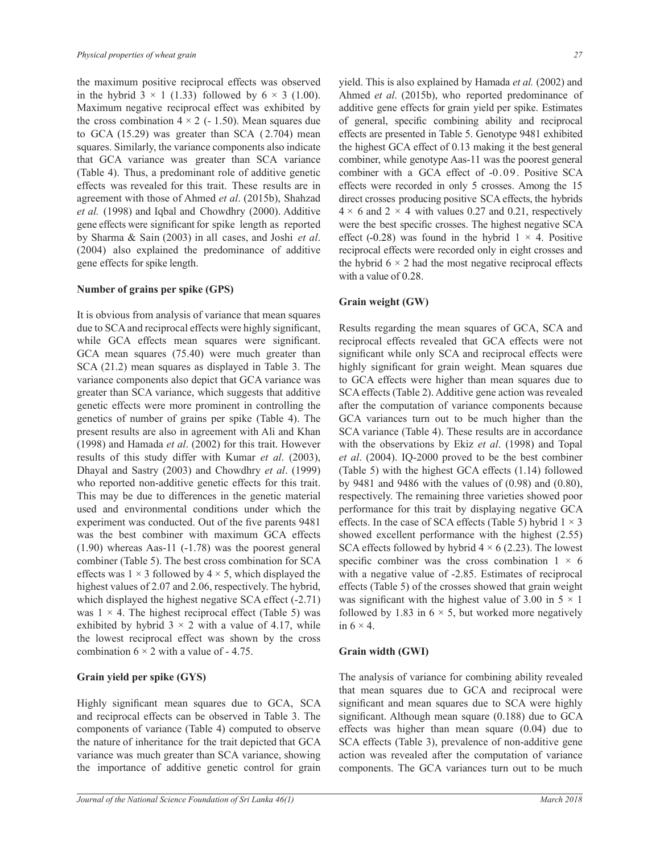the maximum positive reciprocal effects was observed in the hybrid  $3 \times 1$  (1.33) followed by  $6 \times 3$  (1.00). Maximum negative reciprocal effect was exhibited by the cross combination  $4 \times 2$  (- 1.50). Mean squares due to GCA (15.29) was greater than SCA ( 2.704) mean squares. Similarly, the variance components also indicate that GCA variance was greater than SCA variance (Table 4). Thus, a predominant role of additive genetic effects was revealed for this trait. These results are in agreement with those of Ahmed *et al*. (2015b), Shahzad *et al.* (1998) and Iqbal and Chowdhry (2000). Additive gene effects were significant for spike length as reported by Sharma & Sain (2003) in all cases, and Joshi *et al*. (2004) also explained the predominance of additive gene effects for spike length.

#### **Number of grains per spike (GPS)**

It is obvious from analysis of variance that mean squares due to SCA and reciprocal effects were highly significant, while GCA effects mean squares were significant. GCA mean squares (75.40) were much greater than SCA (21.2) mean squares as displayed in Table 3. The variance components also depict that GCA variance was greater than SCA variance, which suggests that additive genetic effects were more prominent in controlling the genetics of number of grains per spike (Table 4). The present results are also in agreement with Ali and Khan (1998) and Hamada *et al*. (2002) for this trait. However results of this study differ with Kumar *et al*. (2003), Dhayal and Sastry (2003) and Chowdhry *et al*. (1999) who reported non-additive genetic effects for this trait. This may be due to differences in the genetic material used and environmental conditions under which the experiment was conducted. Out of the five parents 9481 was the best combiner with maximum GCA effects (1.90) whereas Aas-11 (-1.78) was the poorest general combiner (Table 5). The best cross combination for SCA effects was  $1 \times 3$  followed by  $4 \times 5$ , which displayed the highest values of 2.07 and 2.06, respectively. The hybrid, which displayed the highest negative SCA effect (-2.71) was  $1 \times 4$ . The highest reciprocal effect (Table 5) was exhibited by hybrid  $3 \times 2$  with a value of 4.17, while the lowest reciprocal effect was shown by the cross combination  $6 \times 2$  with a value of - 4.75.

#### **Grain yield per spike (GYS)**

Highly significant mean squares due to GCA, SCA and reciprocal effects can be observed in Table 3. The components of variance (Table 4) computed to observe the nature of inheritance for the trait depicted that GCA variance was much greater than SCA variance, showing the importance of additive genetic control for grain

yield. This is also explained by Hamada *et al.* (2002) and Ahmed *et al*. (2015b), who reported predominance of additive gene effects for grain yield per spike. Estimates of general, specific combining ability and reciprocal effects are presented in Table 5. Genotype 9481 exhibited the highest GCA effect of 0.13 making it the best general combiner, while genotype Aas-11 was the poorest general combiner with a GCA effect of -0.09. Positive SCA effects were recorded in only 5 crosses. Among the 15 direct crosses producing positive SCA effects, the hybrids  $4 \times 6$  and  $2 \times 4$  with values 0.27 and 0.21, respectively were the best specific crosses. The highest negative SCA effect (-0.28) was found in the hybrid  $1 \times 4$ . Positive reciprocal effects were recorded only in eight crosses and the hybrid  $6 \times 2$  had the most negative reciprocal effects with a value of 0.28.

#### **Grain weight (GW)**

Results regarding the mean squares of GCA, SCA and reciprocal effects revealed that GCA effects were not significant while only SCA and reciprocal effects were highly significant for grain weight. Mean squares due to GCA effects were higher than mean squares due to SCA effects (Table 2). Additive gene action was revealed after the computation of variance components because GCA variances turn out to be much higher than the SCA variance (Table 4). These results are in accordance with the observations by Ekiz *et al*. (1998) and Topal *et al*. (2004). IQ-2000 proved to be the best combiner (Table 5) with the highest GCA effects (1.14) followed by 9481 and 9486 with the values of (0.98) and (0.80), respectively. The remaining three varieties showed poor performance for this trait by displaying negative GCA effects. In the case of SCA effects (Table 5) hybrid  $1 \times 3$ showed excellent performance with the highest (2.55) SCA effects followed by hybrid  $4 \times 6$  (2.23). The lowest specific combiner was the cross combination  $1 \times 6$ with a negative value of -2.85. Estimates of reciprocal effects (Table 5) of the crosses showed that grain weight was significant with the highest value of 3.00 in  $5 \times 1$ followed by 1.83 in  $6 \times 5$ , but worked more negatively in  $6 \times 4$ .

#### **Grain width (GWI)**

The analysis of variance for combining ability revealed that mean squares due to GCA and reciprocal were significant and mean squares due to SCA were highly significant. Although mean square  $(0.188)$  due to GCA effects was higher than mean square (0.04) due to SCA effects (Table 3), prevalence of non-additive gene action was revealed after the computation of variance components. The GCA variances turn out to be much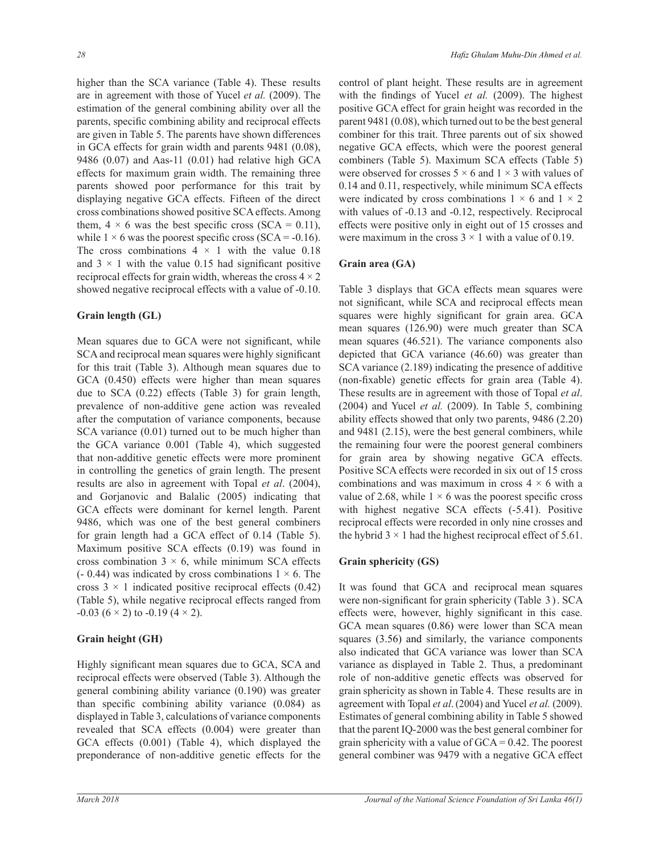higher than the SCA variance (Table 4). These results are in agreement with those of Yucel *et al.* (2009). The estimation of the general combining ability over all the parents, specific combining ability and reciprocal effects are given in Table 5. The parents have shown differences in GCA effects for grain width and parents 9481 (0.08), 9486 (0.07) and Aas-11 (0.01) had relative high GCA effects for maximum grain width. The remaining three parents showed poor performance for this trait by displaying negative GCA effects. Fifteen of the direct cross combinations showed positive SCA effects. Among them,  $4 \times 6$  was the best specific cross (SCA = 0.11), while  $1 \times 6$  was the poorest specific cross (SCA = -0.16). The cross combinations  $4 \times 1$  with the value 0.18 and  $3 \times 1$  with the value 0.15 had significant positive reciprocal effects for grain width, whereas the cross  $4 \times 2$ showed negative reciprocal effects with a value of -0.10.

## **Grain length (GL)**

Mean squares due to GCA were not significant, while SCA and reciprocal mean squares were highly significant for this trait (Table 3). Although mean squares due to GCA (0.450) effects were higher than mean squares due to SCA (0.22) effects (Table 3) for grain length, prevalence of non-additive gene action was revealed after the computation of variance components, because SCA variance  $(0.01)$  turned out to be much higher than the GCA variance 0.001 (Table 4), which suggested that non-additive genetic effects were more prominent in controlling the genetics of grain length. The present results are also in agreement with Topal *et al*. (2004), and Gorjanovic and Balalic (2005) indicating that GCA effects were dominant for kernel length. Parent 9486, which was one of the best general combiners for grain length had a GCA effect of 0.14 (Table 5). Maximum positive SCA effects (0.19) was found in cross combination  $3 \times 6$ , while minimum SCA effects  $(-0.44)$  was indicated by cross combinations  $1 \times 6$ . The cross  $3 \times 1$  indicated positive reciprocal effects (0.42) (Table 5), while negative reciprocal effects ranged from  $-0.03$  (6  $\times$  2) to  $-0.19$  (4  $\times$  2).

## **Grain height (GH)**

Highly significant mean squares due to GCA, SCA and reciprocal effects were observed (Table 3). Although the general combining ability variance (0.190) was greater than specific combining ability variance  $(0.084)$  as displayed in Table 3, calculations of variance components revealed that SCA effects (0.004) were greater than GCA effects (0.001) (Table 4), which displayed the preponderance of non-additive genetic effects for the control of plant height. These results are in agreement with the findings of Yucel et al. (2009). The highest positive GCA effect for grain height was recorded in the parent 9481 (0.08), which turned out to be the best general combiner for this trait. Three parents out of six showed negative GCA effects, which were the poorest general combiners (Table 5). Maximum SCA effects (Table 5) were observed for crosses  $5 \times 6$  and  $1 \times 3$  with values of 0.14 and 0.11, respectively, while minimum SCA effects were indicated by cross combinations  $1 \times 6$  and  $1 \times 2$ with values of -0.13 and -0.12, respectively. Reciprocal effects were positive only in eight out of 15 crosses and were maximum in the cross  $3 \times 1$  with a value of 0.19.

## **Grain area (GA)**

Table 3 displays that GCA effects mean squares were not significant, while SCA and reciprocal effects mean squares were highly significant for grain area. GCA mean squares (126.90) were much greater than SCA mean squares (46.521). The variance components also depicted that GCA variance (46.60) was greater than SCA variance (2.189) indicating the presence of additive (non-fixable) genetic effects for grain area (Table 4). These results are in agreement with those of Topal *et al*. (2004) and Yucel *et al.* (2009). In Table 5, combining ability effects showed that only two parents, 9486 (2.20) and 9481 (2.15), were the best general combiners, while the remaining four were the poorest general combiners for grain area by showing negative GCA effects. Positive SCA effects were recorded in six out of 15 cross combinations and was maximum in cross  $4 \times 6$  with a value of 2.68, while  $1 \times 6$  was the poorest specific cross with highest negative SCA effects (-5.41). Positive reciprocal effects were recorded in only nine crosses and the hybrid  $3 \times 1$  had the highest reciprocal effect of 5.61.

## **Grain sphericity (GS)**

It was found that GCA and reciprocal mean squares were non-significant for grain sphericity (Table  $3$ ). SCA effects were, however, highly significant in this case. GCA mean squares (0.86) were lower than SCA mean squares (3.56) and similarly, the variance components also indicated that GCA variance was lower than SCA variance as displayed in Table 2. Thus, a predominant role of non-additive genetic effects was observed for grain sphericity as shown in Table 4. These results are in agreement with Topal *et al*. (2004) and Yucel *et al.* (2009). Estimates of general combining ability in Table 5 showed that the parent IQ-2000 was the best general combiner for grain sphericity with a value of  $GCA = 0.42$ . The poorest general combiner was 9479 with a negative GCA effect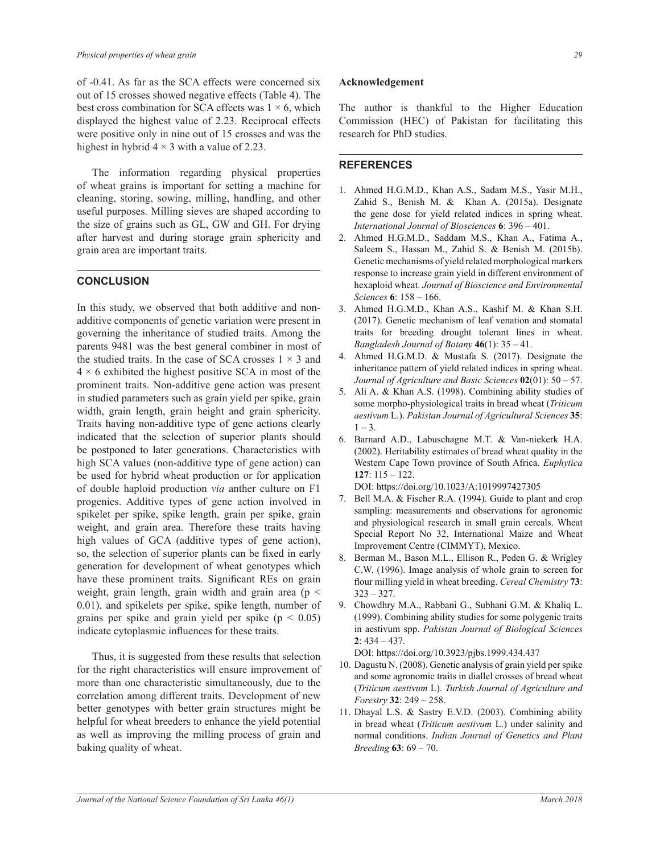of -0.41. As far as the SCA effects were concerned six out of 15 crosses showed negative effects (Table 4). The best cross combination for SCA effects was  $1 \times 6$ , which displayed the highest value of 2.23. Reciprocal effects were positive only in nine out of 15 crosses and was the highest in hybrid  $4 \times 3$  with a value of 2.23.

 The information regarding physical properties of wheat grains is important for setting a machine for cleaning, storing, sowing, milling, handling, and other useful purposes. Milling sieves are shaped according to the size of grains such as GL, GW and GH. For drying after harvest and during storage grain sphericity and grain area are important traits.

### **CONCLUSION**

In this study, we observed that both additive and nonadditive components of genetic variation were present in governing the inheritance of studied traits. Among the parents 9481 was the best general combiner in most of the studied traits. In the case of SCA crosses  $1 \times 3$  and  $4 \times 6$  exhibited the highest positive SCA in most of the prominent traits. Non-additive gene action was present in studied parameters such as grain yield per spike, grain width, grain length, grain height and grain sphericity. Traits having non-additive type of gene actions clearly indicated that the selection of superior plants should be postponed to later generations. Characteristics with high SCA values (non-additive type of gene action) can be used for hybrid wheat production or for application of double haploid production *via* anther culture on F1 progenies. Additive types of gene action involved in spikelet per spike, spike length, grain per spike, grain weight, and grain area. Therefore these traits having high values of GCA (additive types of gene action), so, the selection of superior plants can be fixed in early generation for development of wheat genotypes which have these prominent traits. Significant REs on grain weight, grain length, grain width and grain area (p < 0.01), and spikelets per spike, spike length, number of grains per spike and grain yield per spike  $(p < 0.05)$ indicate cytoplasmic influences for these traits.

 Thus, it is suggested from these results that selection for the right characteristics will ensure improvement of more than one characteristic simultaneously, due to the correlation among different traits. Development of new better genotypes with better grain structures might be helpful for wheat breeders to enhance the yield potential as well as improving the milling process of grain and baking quality of wheat.

#### **Acknowledgement**

The author is thankful to the Higher Education Commission (HEC) of Pakistan for facilitating this research for PhD studies.

#### **REFERENCES**

- 1. Ahmed H.G.M.D., Khan A.S., Sadam M.S., Yasir M.H., Zahid S., Benish M. & Khan A. (2015a). Designate the gene dose for yield related indices in spring wheat. *International Journal of Biosciences* 6: 396 – 401.
- 2. Ahmed H.G.M.D., Saddam M.S., Khan A., Fatima A., Saleem S., Hassan M., Zahid S. & Benish M. (2015b). Genetic mechanisms of yield related morphological markers response to increase grain yield in different environment of hexaploid wheat. *Journal of Bioscience and Environmental Sciences* **6**: 158 – 166.
- 3. Ahmed H.G.M.D., Khan A.S., Kashif M. & Khan S.H. (2017). Genetic mechanism of leaf venation and stomatal traits for breeding drought tolerant lines in wheat. *Bangladesh Journal of Botany*  $46(1)$ :  $35 - 41$ .
- 4. Ahmed H.G.M.D. & Mustafa S. (2017). Designate the inheritance pattern of yield related indices in spring wheat. Journal of Agriculture and Basic Sciences 02(01): 50 – 57.
- 5. Ali A. & Khan A.S. (1998). Combining ability studies of some morpho-physiological traits in bread wheat (*Triticum aestivum* L.). *Pakistan Journal of Agricultural Sciences* 35:  $1 - 3$ .
- 6. Barnard A.D., Labuschagne M.T. & Van-niekerk H.A. (2002). Heritability estimates of bread wheat quality in the Western Cape Town province of South Africa. *Euphytica* **127**: 115 – 122.

DOI: https://doi.org/10.1023/A:1019997427305

- 7. Bell M.A. & Fischer R.A. (1994). Guide to plant and crop sampling: measurements and observations for agronomic and physiological research in small grain cereals. Wheat Special Report No 32, International Maize and Wheat Improvement Centre (CIMMYT), Mexico.
- 8. Berman M., Bason M.L., Ellison R., Peden G. & Wrigley C.W. (1996). Image analysis of whole grain to screen for flour milling yield in wheat breeding. Cereal Chemistry 73: 323 – 327.
- 9. Chowdhry M.A., Rabbani G., Subhani G.M. & Khaliq L. (1999). Combining ability studies for some polygenic traits in aestivum spp. Pakistan Journal of Biological Sciences **2**: 434 – 437.

DOI: https://doi.org/10.3923/pjbs.1999.434.437

- 10. Dagustu N. (2008). Genetic analysis of grain yield per spike and some agronomic traits in diallel crosses of bread wheat (*Triticum aestivum L*). *Turkish Journal of Agriculture and Forestry* **32**: 249 – 258.
- 11. Dhayal L.S. & Sastry E.V.D. (2003). Combining ability in bread wheat (*Triticum aestivum* L.) under salinity and normal conditions. *Indian Journal of Genetics and Plant Breeding* **63**: 69 – 70.